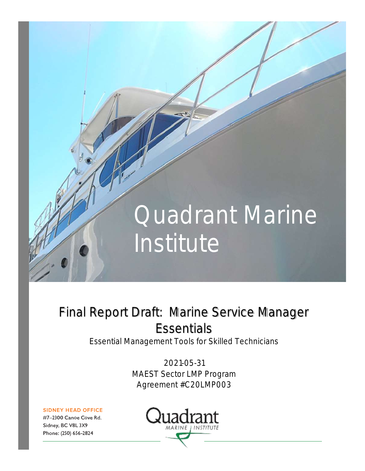# **Quadrant Marine** Institute

# Final Report Draft: Marine Service Manager **Essentials**

Essential Management Tools for Skilled Technicians

2021-05-31 MAEST Sector LMP Program Agreement #C20LMP003

**SIDNEY HEAD OFFICE** 

#7-2300 Canoe Cove Rd. Sidney, BC V8L 3X9 Phone: (250) 656-2824

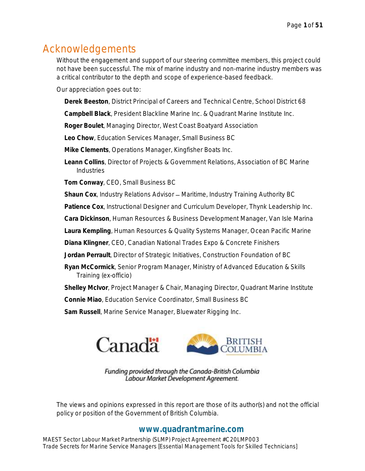# Acknowledgements

Without the engagement and support of our steering committee members, this project could not have been successful. The mix of marine industry and non-marine industry members was a critical contributor to the depth and scope of experience-based feedback.

Our appreciation goes out to:

**Derek Beeston**, District Principal of Careers and Technical Centre, School District 68

**Campbell Black**, President Blackline Marine Inc. & Quadrant Marine Institute Inc.

**Roger Boulet**, Managing Director, West Coast Boatyard Association

**Leo Chow**, Education Services Manager, Small Business BC

**Mike Clements**, Operations Manager, Kingfisher Boats Inc.

**Leann Collins**, Director of Projects & Government Relations, Association of BC Marine Industries

**Tom Conway**, CEO, Small Business BC

Shaun Cox, Industry Relations Advisor - Maritime, Industry Training Authority BC

**Patience Cox**, Instructional Designer and Curriculum Developer, Thynk Leadership Inc.

**Cara Dickinson**, Human Resources & Business Development Manager, Van Isle Marina

**Laura Kempling**, Human Resources & Quality Systems Manager, Ocean Pacific Marine

**Diana Klingner**, CEO, Canadian National Trades Expo & Concrete Finishers

**Jordan Perrault**, Director of Strategic Initiatives, Construction Foundation of BC

**Ryan McCormick**, Senior Program Manager, Ministry of Advanced Education & Skills Training (ex-officio)

**Shelley McIvor**, Project Manager & Chair, Managing Director, Quadrant Marine Institute

**Connie Miao**, Education Service Coordinator, Small Business BC

**Sam Russell**, Marine Service Manager, Bluewater Rigging Inc.



Funding provided through the Canada-British Columbia Labour Market Development Agreement.

The views and opinions expressed in this report are those of its author(s) and not the official policy or position of the Government of British Columbia.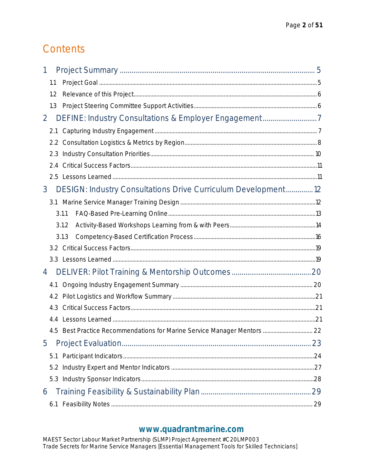# Contents

| 1              |                                                                          |  |
|----------------|--------------------------------------------------------------------------|--|
| 1.1            |                                                                          |  |
| 1.2            |                                                                          |  |
| 1.3            |                                                                          |  |
| $\overline{2}$ |                                                                          |  |
| 2.1            |                                                                          |  |
|                |                                                                          |  |
| 2.3            |                                                                          |  |
|                |                                                                          |  |
|                |                                                                          |  |
| 3              | DESIGN: Industry Consultations Drive Curriculum Development12            |  |
|                |                                                                          |  |
|                | 3.1.1                                                                    |  |
|                | 3.1.2                                                                    |  |
|                | 3.1.3                                                                    |  |
|                |                                                                          |  |
|                |                                                                          |  |
| 4              |                                                                          |  |
| 4.1            |                                                                          |  |
|                |                                                                          |  |
| 4.3            |                                                                          |  |
|                |                                                                          |  |
|                | 4.5 Best Practice Recommendations for Marine Service Manager Mentors  22 |  |
| 5              |                                                                          |  |
| 5.1            |                                                                          |  |
| 5.2            |                                                                          |  |
|                |                                                                          |  |
| 6              |                                                                          |  |
| 6.1            |                                                                          |  |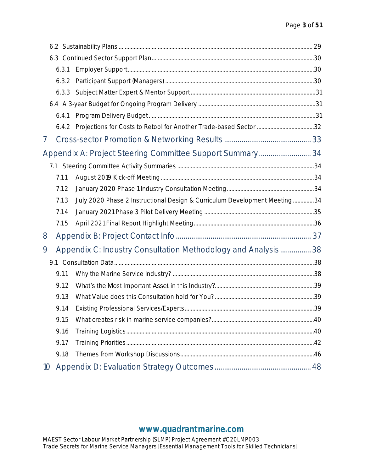|                 | 6.3.1 |                                                                           |  |  |  |  |  |  |  |
|-----------------|-------|---------------------------------------------------------------------------|--|--|--|--|--|--|--|
|                 | 6.3.2 |                                                                           |  |  |  |  |  |  |  |
|                 | 6.3.3 |                                                                           |  |  |  |  |  |  |  |
|                 |       |                                                                           |  |  |  |  |  |  |  |
|                 | 6.4.1 |                                                                           |  |  |  |  |  |  |  |
|                 |       |                                                                           |  |  |  |  |  |  |  |
| 7               |       |                                                                           |  |  |  |  |  |  |  |
|                 |       | Appendix A: Project Steering Committee Support Summary 34                 |  |  |  |  |  |  |  |
|                 |       |                                                                           |  |  |  |  |  |  |  |
|                 | 7.1.1 |                                                                           |  |  |  |  |  |  |  |
|                 | 7.1.2 |                                                                           |  |  |  |  |  |  |  |
|                 | 7.1.3 | July 2020 Phase 2 Instructional Design & Curriculum Development Meeting34 |  |  |  |  |  |  |  |
|                 | 7.1.4 |                                                                           |  |  |  |  |  |  |  |
|                 | 7.1.5 |                                                                           |  |  |  |  |  |  |  |
| 8               |       |                                                                           |  |  |  |  |  |  |  |
| 9               |       | Appendix C: Industry Consultation Methodology and Analysis 38             |  |  |  |  |  |  |  |
|                 |       |                                                                           |  |  |  |  |  |  |  |
|                 | 9.1.1 |                                                                           |  |  |  |  |  |  |  |
|                 | 9.1.2 |                                                                           |  |  |  |  |  |  |  |
|                 | 9.1.3 |                                                                           |  |  |  |  |  |  |  |
|                 |       |                                                                           |  |  |  |  |  |  |  |
|                 | 9.1.5 |                                                                           |  |  |  |  |  |  |  |
|                 | 9.1.6 |                                                                           |  |  |  |  |  |  |  |
|                 | 9.1.7 |                                                                           |  |  |  |  |  |  |  |
|                 | 9.1.8 |                                                                           |  |  |  |  |  |  |  |
| 10 <sup>°</sup> |       |                                                                           |  |  |  |  |  |  |  |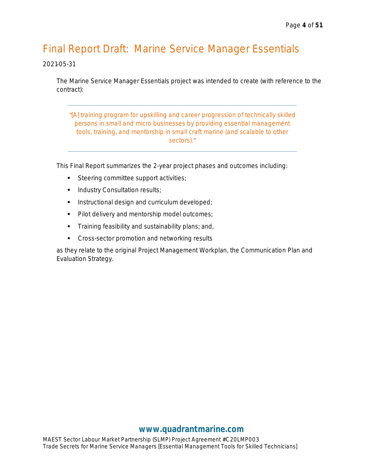# Final Report Draft: Marine Service Manager Essentials

#### 2021-05-31

The Marine Service Manager Essentials project was intended to create (with reference to the contract):

*[A] training program for upskilling and career progression of technically skilled persons in small and micro businesses by providing essential management tools, training, and mentorship in small craft marine (and scalable to other sectors).*

This Final Report summarizes the 2-year project phases and outcomes including:

- Steering committee support activities;
- Industry Consultation results;
- **■** Instructional design and curriculum developed;
- Pilot delivery and mentorship model outcomes;
- **•** Training feasibility and sustainability plans; and,
- Cross-sector promotion and networking results

as they relate to the original Project Management Workplan, the Communication Plan and Evaluation Strategy.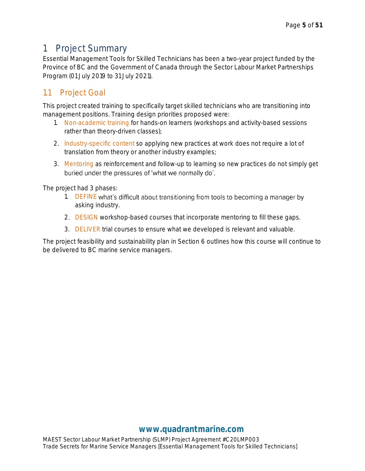## <span id="page-5-0"></span>1 Project Summary

Essential Management Tools for Skilled Technicians has been a two-year project funded by the Province of BC and the Government of Canada through the Sector Labour Market Partnerships Program (01 July 2019 to 31 July 2021).

## <span id="page-5-1"></span>1.1 Project Goal

This project created training to specifically target skilled technicians who are transitioning into management positions. Training design priorities proposed were:

- 1. Non-academic training for hands-on learners (workshops and activity-based sessions rather than theory-driven classes);
- 2. Industry-specific content so applying new practices at work does not require a lot of translation from theory or another industry examples;
- 3. Mentoring as reinforcement and follow-up to learning so new practices do not simply get buried under the pressures of 'what we normally do'.

The project had 3 phases:

- 1. DEFINE what's difficult about transitioning from tools to becoming a manager by asking industry.
- 2. DESIGN workshop-based courses that incorporate mentoring to fill these gaps.
- 3. DELIVER trial courses to ensure what we developed is relevant and valuable.

The project feasibility and sustainability plan in Section 6 outlines how this course will continue to be delivered to BC marine service managers.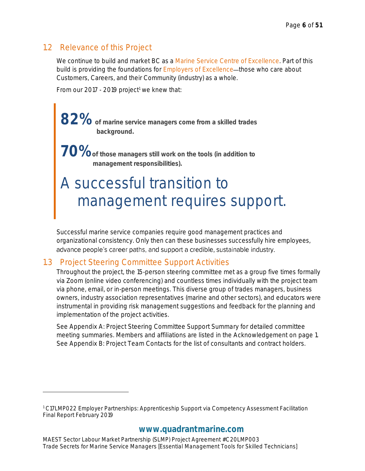## <span id="page-6-0"></span>1.2 Relevance of this Project

We continue to build and market BC as a Marine Service Centre of Excellence. Part of this build is providing the foundations for *Employers of Excellence*—those who care about Customers, Careers, and their Community (industry) as a whole.

From our 2017 - 2019 project<sup>1</sup> we knew that:

**82% of marine service managers come from a skilled trades background.**

**70%of those managers still work on the tools (in addition to management responsibilities).**

# A successful transition to management requires support.

Successful marine service companies require good management practices and organizational consistency. Only then can these businesses successfully hire employees, advance people's career paths, and support a credible, sustainable industry.

## <span id="page-6-1"></span>1.3 Project Steering Committee Support Activities

Throughout the project, the 15-person steering committee met as a group five times formally via Zoom (online video conferencing) and countless times individually with the project team via phone, email, or in-person meetings. This diverse group of trades managers, business owners, industry association representatives (marine and other sectors), and educators were instrumental in providing risk management suggestions and feedback for the planning and implementation of the project activities.

See *Appendix A: Project Steering Committee Support Summary* for detailed committee meeting summaries. Members and affiliations are listed in the *Acknowledgement* on page 1. See *Appendix B: Project Team Contacts* for the list of consultants and contract holders.

<sup>1</sup> C17LMP022 Employer Partnerships: Apprenticeship Support via Competency Assessment Facilitation Final Report February 2019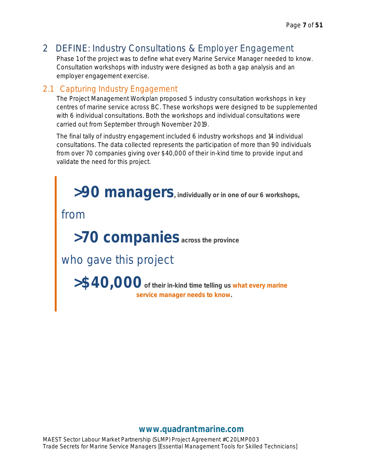## <span id="page-7-0"></span>2 DEFINE: Industry Consultations & Employer Engagement

Phase 1 of the project was to define what every Marine Service Manager needed to know. Consultation workshops with industry were designed as both a gap analysis and an employer engagement exercise.

## <span id="page-7-1"></span>2.1 Capturing Industry Engagement

The Project Management Workplan proposed 5 industry consultation workshops in key centres of marine service across BC. These workshops were designed to be supplemented with 6 individual consultations. Both the workshops and individual consultations were carried out from September through November 2019.

The final tally of industry engagement included 6 industry workshops and 14 individual consultations. The data collected represents the participation of more than 90 individuals from over 70 companies giving over \$40,000 of their in-kind time to provide input and validate the need for this project.

 **>90 managers, individually or in one of our 6 workshops,**

from

 **>70 companies across the province**

who gave this project

 **>\$40,000of their in-kind time telling us what every marine service manager needs to know.**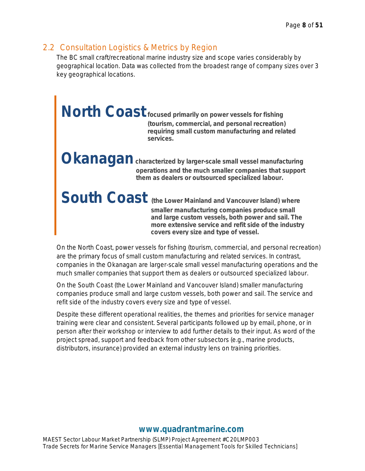## <span id="page-8-0"></span>2.2 Consultation Logistics & Metrics by Region

The BC small craft/recreational marine industry size and scope varies considerably by geographical location. Data was collected from the broadest range of company sizes over 3 key geographical locations.

**North Coastfocused primarily on power vessels for fishing (tourism, commercial, and personal recreation) requiring small custom manufacturing and related services.**

**Kanagan** characterized by larger-scale small vessel manufacturing **operations and the much smaller companies that support them as dealers or outsourced specialized labour.**

South Coast (the Lower Mainland and Vancouver Island) where **smaller manufacturing companies produce small and large custom vessels, both power and sail. The more extensive service and refit side of the industry covers every size and type of vessel.**

On the North Coast, power vessels for fishing (tourism, commercial, and personal recreation) are the primary focus of small custom manufacturing and related services. In contrast, companies in the Okanagan are larger-scale small vessel manufacturing operations and the much smaller companies that support them as dealers or outsourced specialized labour.

On the South Coast (the Lower Mainland and Vancouver Island) smaller manufacturing companies produce small and large custom vessels, both power and sail. The service and refit side of the industry covers every size and type of vessel.

Despite these different operational realities, the themes and priorities for service manager training were clear and consistent. Several participants followed up by email, phone, or in person after their workshop or interview to add further details to their input. As word of the project spread, support and feedback from other subsectors (e.g., marine products, distributors, insurance) provided an external industry lens on training priorities.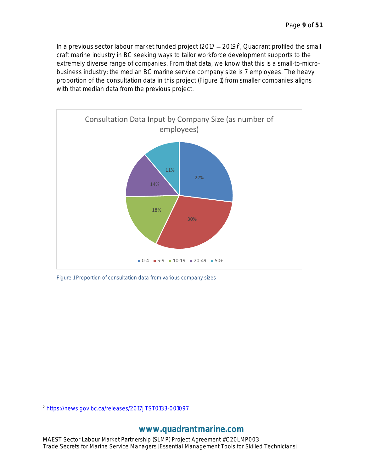In a previous sector labour market funded project  $(2017 - 2019)^2$ , Quadrant profiled the small craft marine industry in BC seeking ways to tailor workforce development supports to the extremely diverse range of companies. From that data, we know that this is a small-to-microbusiness industry; the median BC marine service company size is 7 employees. The heavy proportion of the consultation data in this project (Figure 1) from smaller companies aligns with that median data from the previous project.



*Figure 1 Proportion of consultation data from various company sizes*

<sup>2</sup> <https://news.gov.bc.ca/releases/2017JTST0133-001097>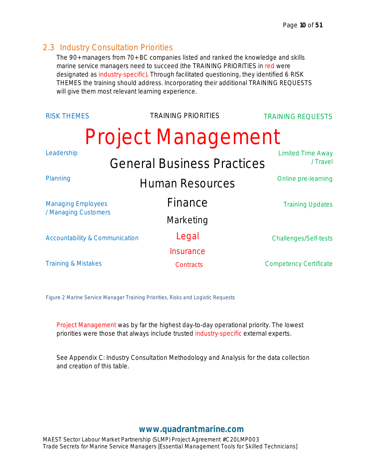#### <span id="page-10-0"></span>2.3 Industry Consultation Priorities

The 90+ managers from 70+ BC companies listed and ranked the knowledge and skills marine service managers need to succeed (the TRAINING PRIORITIES in red were designated as industry-specific). Through facilitated questioning, they identified 6 RISK THEMES the training should address. Incorporating their additional TRAINING REQUESTS will give them most relevant learning experience.

| <b>RISK THEMES</b>                        | <b>TRAINING PRIORITIES</b>        | <b>TRAINING REQUESTS</b>             |
|-------------------------------------------|-----------------------------------|--------------------------------------|
|                                           | <b>Project Management</b>         |                                      |
| Leadership                                | <b>General Business Practices</b> | <b>Limited Time Away</b><br>/ Travel |
| Planning                                  | <b>Human Resources</b>            | Online pre-learning                  |
| <b>Managing Employees</b>                 | Finance                           | <b>Training Updates</b>              |
| / Managing Customers                      | Marketing                         |                                      |
| <b>Accountability &amp; Communication</b> | Legal                             | Challenges/Self-tests                |
|                                           | Insurance                         |                                      |
| <b>Training &amp; Mistakes</b>            | Contracts                         | <b>Competency Certificate</b>        |

*Figure 2 Marine Service Manager Training Priorities, Risks and Logistic Requests*

Project Management was by far the highest day-to-day operational priority. The lowest priorities were those that always include trusted industry-specific external experts.

See *Appendix C: Industry Consultation Methodology and Analysis* for the data collection and creation of this table.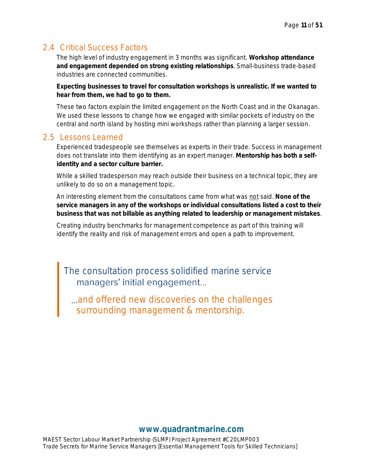## <span id="page-11-0"></span>2.4 Critical Success Factors

The high level of industry engagement in 3 months was significant. **Workshop attendance and engagement depended on strong existing relationships**. Small-business trade-based industries are connected communities.

**Expecting businesses to travel for consultation workshops is unrealistic. If we wanted to hear from them, we had to go to them.**

These two factors explain the limited engagement on the North Coast and in the Okanagan. We used these lessons to change how we engaged with similar pockets of industry on the central and north island by hosting mini workshops rather than planning a larger session.

#### <span id="page-11-1"></span>2.5 Lessons Learned

Experienced tradespeople see themselves as experts in their trade. Success in management does not translate into them identifying as an expert manager. **Mentorship has both a selfidentity and a sector culture barrier.**

While a skilled tradesperson may reach outside their business on a technical topic, they are unlikely to do so on a management topic.

An interesting element from the consultations came from what was not said. **None of the service managers in any of the workshops or individual consultations listed a cost to their business that was not billable as anything related to leadership or management mistakes**.

Creating industry benchmarks for management competence as part of this training will identify the reality and risk of management errors and open a path to improvement.

The consultation process solidified marine service<br>managers' initial engagement...

and offered new discoveries on the challenges... surrounding management & mentorship.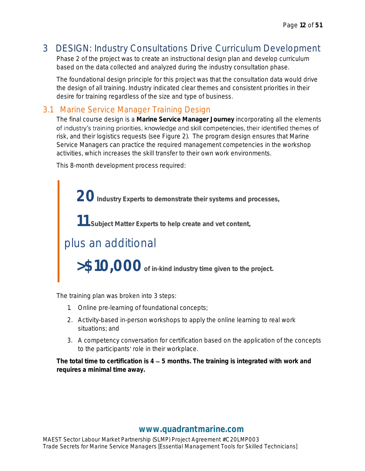# <span id="page-12-0"></span>3 DESIGN: Industry Consultations Drive Curriculum Development

Phase 2 of the project was to create an instructional design plan and develop curriculum based on the data collected and analyzed during the industry consultation phase.

The foundational design principle for this project was that the consultation data would drive the design of all training. Industry indicated clear themes and consistent priorities in their desire for training regardless of the size and type of business.

## <span id="page-12-1"></span>3.1 Marine Service Manager Training Design

The final course design is a **Marine Service Manager Journey** incorporating all the elements of industry's training priorities, knowledge and skill competencies, their identified themes of risk, and their logistics requests (see Figure 2). The program design ensures that Marine Service Managers can practice the required management competencies in the workshop activities, which increases the skill transfer to their own work environments.

This 8-month development process required:

 **20Industry Experts to demonstrate their systems and processes, 11 Subject Matter Experts to help create and vet content,** plus an additional  **>\$10,000of in-kind industry time given to the project.**

The training plan was broken into 3 steps:

- 1. Online pre-learning of foundational concepts;
- 2. Activity-based in-person workshops to apply the online learning to real work situations; and
- 3. A competency conversation for certification based on the application of the concepts to the participants' role in their workplace.

The total time to certification is 4 – 5 months. The training is integrated with work and **requires a minimal time away.**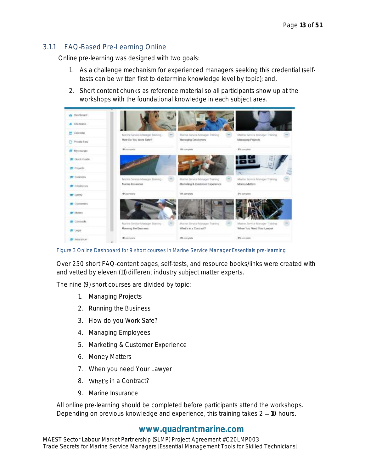#### <span id="page-13-0"></span>3.1.1 FAQ-Based Pre-Learning Online

Online pre-learning was designed with two goals:

- 1. As a challenge mechanism for experienced managers seeking this credential (selftests can be written first to determine knowledge level by topic); and,
- 2. Short content chunks as reference material so all participants show up at the workshops with the foundational knowledge in each subject area.

| <b>Jan Davidored</b>    |                                                 |                                  |                                |
|-------------------------|-------------------------------------------------|----------------------------------|--------------------------------|
| # Sile froms            |                                                 |                                  |                                |
| Calendar                | Marlor Sevilla Marrager Training<br><b>STEP</b> | Martine Samica Manager Training  | Martne Sevice Manager Training |
| Private fies            | How Do You Work Sefe?                           | Managing Employees               | Managing Projects              |
| <b>THE My courses</b>   | <b>PK</b> pomplete                              | <b>BS-Innustrie</b>              | <b>B's complete</b>            |
| Chack Costs             |                                                 |                                  |                                |
| <b>Projects</b>         |                                                 |                                  | 720                            |
| <b>古</b> flusiness      | Marine Service Manager Training                 | Marmit Similar Manager Training  | Marine Sevice Manager Training |
| <b>T</b> Employees      | Marine Imiucanco                                | Marketing & Customer Experience. | Money Metters                  |
| Safety                  | <b>Piccomplete</b>                              | <b>Bit complete</b>              | 0% complete                    |
| Customers               |                                                 |                                  |                                |
| <b>E</b> Money          |                                                 |                                  |                                |
| <b>E</b> Contracts      | Marine Sevice Mariager Training                 | Marmt Sirvice Manager Transing   | Marine Sewive Manager Training |
| <b>度 Logal</b>          | Rizming the Business.                           | What's an a Contract?            | When You Need Your Lawyer      |
| <b><i>Insurance</i></b> | <b>Bill complete</b>                            | <b>BS-remaints</b>               | <b>IT'L</b> configuration      |

*Figure 3 Online Dashboard for 9 short courses in Marine Service Manager Essentials pre-learning*

Over 250 short FAQ-content pages, self-tests, and resource books/links were created with and vetted by eleven (11) different industry subject matter experts.

The nine (9) short courses are divided by topic:

- 1. Managing Projects
- 2. Running the Business
- 3. How do you Work Safe?
- 4. Managing Employees
- 5. Marketing & Customer Experience
- 6. Money Matters
- 7. When you need Your Lawyer
- 8. What's in a Contract?
- 9. Marine Insurance

All online pre-learning should be completed before participants attend the workshops. Depending on previous knowledge and experience, this training takes  $2 - 10$  hours.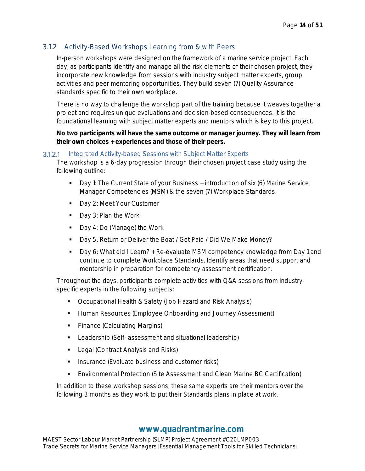#### <span id="page-14-0"></span>3.1.2 Activity-Based Workshops Learning from & with Peers

In-person workshops were designed on the framework of a marine service project. Each day, as participants identify and manage all the risk elements of their chosen project, they incorporate new knowledge from sessions with industry subject matter experts, group activities and peer mentoring opportunities. They build seven (7) Quality Assurance standards specific to their own workplace.

There is no way to challenge the workshop part of the training because it weaves together a project and requires unique evaluations and decision-based consequences. It is the foundational learning with subject matter experts and mentors which is key to this project.

**No two participants will have the same outcome or manager journey. They will learn from their own choices + experiences and those of their peers.**

#### *Integrated Activity-based Sessions with Subject Matter Experts*

The workshop is a 6-day progression through their chosen project case study using the following outline:

- Day 1: The Current State of your Business + introduction of six (6) Marine Service Manager Competencies (MSM) & the seven (7) Workplace Standards.
- Day 2: Meet Your Customer
- Day 3: Plan the Work
- Day 4: Do (Manage) the Work
- Day 5. Return or Deliver the Boat / Get Paid / Did We Make Money?
- Day 6: What did I Learn? + Re-evaluate MSM competency knowledge from Day 1 and continue to complete Workplace Standards. Identify areas that need support and mentorship in preparation for competency assessment certification.

Throughout the days, participants complete activities with Q&A sessions from industryspecific experts in the following subjects:

- Occupational Health & Safety (Job Hazard and Risk Analysis)
- **E** Human Resources (Employee Onboarding and Journey Assessment)
- Finance (Calculating Margins)
- Leadership (Self- assessment and situational leadership)
- Legal (Contract Analysis and Risks)
- **■** Insurance (Evaluate business and customer risks)
- Environmental Protection (Site Assessment and Clean Marine BC Certification)

In addition to these workshop sessions, these same experts are their mentors over the following 3 months as they work to put their Standards plans in place at work.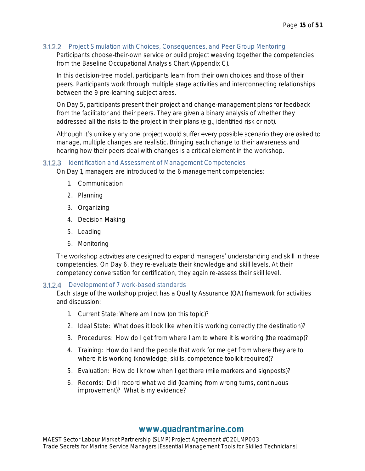#### *Project Simulation with Choices, Consequences, and Peer Group Mentoring*

Participants choose-their-own service or build project weaving together the competencies from the Baseline Occupational Analysis Chart (Appendix C).

In this decision-tree model, participants learn from their own choices and those of their peers. Participants work through multiple stage activities and interconnecting relationships between the 9 pre-learning subject areas.

On Day 5, participants present their project and change-management plans for feedback from the facilitator and their peers. They are given a binary analysis of whether they addressed all the risks to the project in their plans (e.g., identified risk or not).

Although it's unlikely any one project would suffer every possible scenario they are asked to manage, multiple changes are realistic. Bringing each change to their awareness and hearing how their peers deal with changes is a critical element in the workshop.

#### *Identification and Assessment of Management Competencies*

On Day 1, managers are introduced to the 6 management competencies:

- 1. Communication
- 2. Planning
- 3. Organizing
- 4. Decision Making
- 5. Leading
- 6. Monitoring

The workshop activities are designed to expand managers' understanding and skill in these competencies. On Day 6, they re-evaluate their knowledge and skill levels. At their competency conversation for certification, they again re-assess their skill level.

#### *Development of 7 work-based standards*

Each stage of the workshop project has a Quality Assurance (QA) framework for activities and discussion:

- 1. Current State: Where am I now (on this topic)?
- 2. Ideal State: What does it look like when it is working correctly (the destination)?
- 3. Procedures: How do I get from where I am to where it is working (the roadmap)?
- 4. Training: How do I and the people that work for me get from where they are to where it is working (knowledge, skills, competence toolkit required)?
- 5. Evaluation: How do I know when I get there (mile markers and signposts)?
- 6. Records: Did I record what we did (learning from wrong turns, continuous improvement)? What is my evidence?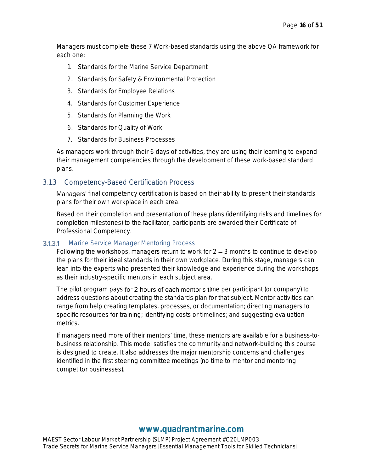Managers must complete these 7 Work-based standards using the above QA framework for each one:

- 1. Standards for the Marine Service Department
- 2. Standards for Safety & Environmental Protection
- 3. Standards for Employee Relations
- 4. Standards for Customer Experience
- 5. Standards for Planning the Work
- 6. Standards for Quality of Work
- 7. Standards for Business Processes

As managers work through their 6 days of activities, they are using their learning to expand their management competencies through the development of these work-based standard plans.

#### <span id="page-16-0"></span>3.1.3 Competency-Based Certification Process

Managers' final competency certification is based on their ability to present their standards plans for their own workplace in each area.

Based on their completion and presentation of these plans (identifying risks and timelines for completion milestones) to the facilitator, participants are awarded their Certificate of Professional Competency.

#### *Marine Service Manager Mentoring Process*  $3.1.3.1$

Following the workshops, managers return to work for  $2 - 3$  months to continue to develop the plans for their ideal standards in their own workplace. During this stage, managers can lean into the experts who presented their knowledge and experience during the workshops as their industry-specific mentors in each subject area.

The pilot program pays for 2 hours of each mentor's time per participant (or company) to address questions about creating the standards plan for that subject. Mentor activities can range from help creating templates, processes, or documentation; directing managers to specific resources for training; identifying costs or timelines; and suggesting evaluation metrics.

If managers need more of their mentors' time, these mentors are available for a business-tobusiness relationship. This model satisfies the community and network-building this course is designed to create. It also addresses the major mentorship concerns and challenges identified in the first steering committee meetings (no time to mentor and mentoring competitor businesses).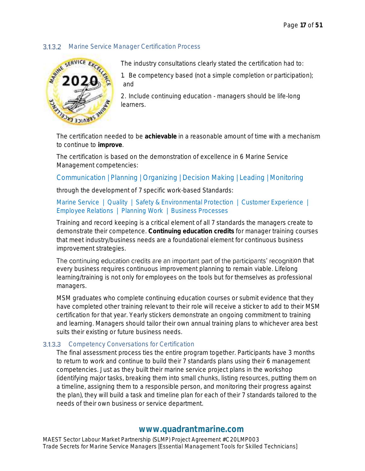#### *Marine Service Manager Certification Process*



The industry consultations clearly stated the certification had to:

1. Be competency based (not a simple completion or participation); and

2. Include continuing education - managers should be life-long learners.

The certification needed to be **achievable** in a reasonable amount of time with a mechanism to continue to **improve**.

The certification is based on the demonstration of excellence in 6 Marine Service Management competencies:

#### Communication | Planning | Organizing | Decision Making | Leading | Monitoring

through the development of 7 specific work-based Standards:

#### Marine Service | Quality | Safety & Environmental Protection | Customer Experience | Employee Relations | Planning Work | Business Processes

Training and record keeping is a critical element of all 7 standards the managers create to demonstrate their competence. **Continuing education credits** for manager training courses that meet industry/business needs are a foundational element for continuous business improvement strategies.

The continuing education credits are an important part of the participants' recognition that every business requires continuous improvement planning to remain viable. Lifelong learning/training is not only for employees on the tools but for themselves as professional managers.

MSM graduates who complete continuing education courses or submit evidence that they have completed other training relevant to their role will receive a sticker to add to their MSM certification for that year. Yearly stickers demonstrate an ongoing commitment to training and learning. Managers should tailor their own annual training plans to whichever area best suits their existing or future business needs.

#### *Competency Conversations for Certification*

The final assessment process ties the entire program together. Participants have 3 months to return to work and continue to build their 7 standards plans using their 6 management competencies. Just as they built their marine service project plans in the workshop (identifying major tasks, breaking them into small chunks, listing resources, putting them on a timeline, assigning them to a responsible person, and monitoring their progress against the plan), they will build a task and timeline plan for each of their 7 standards tailored to the needs of their own business or service department.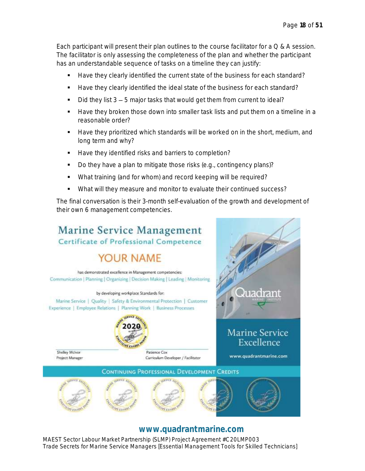Each participant will present their plan outlines to the course facilitator for a Q & A session. The facilitator is only assessing the completeness of the plan and whether the participant has an understandable sequence of tasks on a timeline they can justify:

- Have they clearly identified the current state of the business for each standard?
- Have they clearly identified the ideal state of the business for each standard?
- $\blacksquare$  Did they list  $3 5$  major tasks that would get them from current to ideal?
- Have they broken those down into smaller task lists and put them on a timeline in a reasonable order?
- Have they prioritized which standards will be worked on in the short, medium, and long term and why?
- Have they identified risks and barriers to completion?
- Do they have a plan to mitigate those risks (e.g., contingency plans)?
- What training (and for whom) and record keeping will be required?
- What will they measure and monitor to evaluate their continued success?

The final conversation is their 3-month self-evaluation of the growth and development of their own 6 management competencies.



## **[www.quadrantmarine.com](http://www.quadrantmarine.com/)**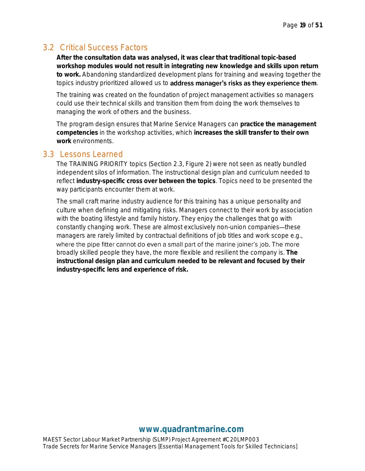## <span id="page-19-0"></span>3.2 Critical Success Factors

**After the consultation data was analysed, it was clear that traditional topic-based workshop modules would not result in integrating new knowledge and skills upon return to work.** Abandoning standardized development plans for training and weaving together the topics industry prioritized allowed us to **address manager's risks as they experience them**.

The training was created on the foundation of project management activities so managers could use their technical skills and transition them from doing the work themselves to managing the work of others and the business.

The program design ensures that Marine Service Managers can **practice the management competencies** in the workshop activities, which **increases the skill transfer to their own work** environments.

#### <span id="page-19-1"></span>3.3 Lessons Learned

The TRAINING PRIORITY topics (Section 2.3, Figure 2) were not seen as neatly bundled independent silos of information. The instructional design plan and curriculum needed to reflect **industry-specific cross over between the topics**. Topics need to be presented the way participants encounter them at work.

The small craft marine industry audience for this training has a unique personality and culture when defining and mitigating risks. Managers connect to their work by association with the boating lifestyle and family history. They enjoy the challenges that go with constantly changing work. These are almost exclusively non-union companies—these managers are rarely limited by contractual definitions of job titles and work scope e.g., where the pipe fitter cannot do even a small part of the marine joiner's job. The more broadly skilled people they have, the more flexible and resilient the company is. **The instructional design plan and curriculum needed to be relevant and focused by their industry-specific lens and experience of risk.**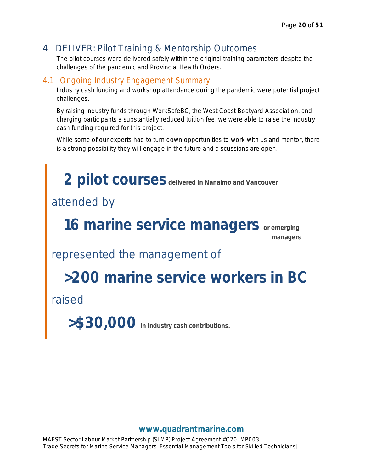## <span id="page-20-0"></span>4 DELIVER: Pilot Training & Mentorship Outcomes

The pilot courses were delivered safely within the original training parameters despite the challenges of the pandemic and Provincial Health Orders.

## <span id="page-20-1"></span>4.1 Ongoing Industry Engagement Summary

Industry cash funding and workshop attendance during the pandemic were potential project challenges.

By raising industry funds through WorkSafeBC, the West Coast Boatyard Association, and charging participants a substantially reduced tuition fee, we were able to raise the industry cash funding required for this project.

While some of our experts had to turn down opportunities to work with us and mentor, there is a strong possibility they will engage in the future and discussions are open.

 **2 pilot courses delivered in Nanaimo and Vancouver** attended by  **16 marine service managers or emerging managers** represented the management of  **>200 marine service workers in BC** raised  **>\$30,000 in industry cash contributions.**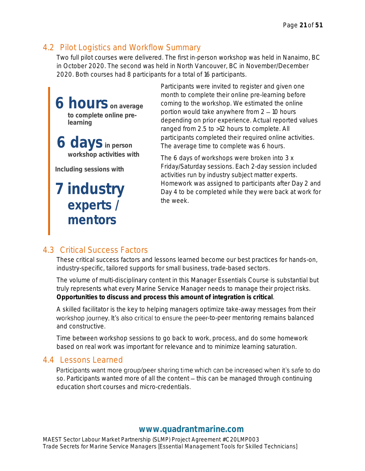## <span id="page-21-0"></span>4.2 Pilot Logistics and Workflow Summary

Two full pilot courses were delivered. The first in-person workshop was held in Nanaimo, BC in October 2020. The second was held in North Vancouver, BC in November/December 2020. Both courses had 8 participants for a total of 16 participants.

**6 hours on average to complete online prelearning** 

**6 daysin person workshop activities with**

**Including sessions with**

**7 industry experts / mentors**

Participants were invited to register and given one month to complete their online pre-learning before coming to the workshop. We estimated the online portion would take anywhere from  $2 - 10$  hours depending on prior experience. Actual reported values ranged from 2.5 to >12 hours to complete. All participants completed their required online activities. The average time to complete was 6 hours.

The 6 days of workshops were broken into 3 x Friday/Saturday sessions. Each 2-day session included activities run by industry subject matter experts. Homework was assigned to participants after Day 2 and Day 4 to be completed while they were back at work for the week.

## <span id="page-21-1"></span>4.3 Critical Success Factors

These critical success factors and lessons learned become our best practices for hands-on, industry-specific, tailored supports for small business, trade-based sectors.

The volume of multi-disciplinary content in this Manager Essentials Course is substantial but truly represents what every Marine Service Manager needs to manage their project risks. **Opportunities to discuss and process this amount of integration is critical**.

A skilled facilitator is the key to helping managers optimize take-away messages from their workshop journey. It's also critical to ensure the peer-to-peer mentoring remains balanced and constructive.

Time between workshop sessions to go back to work, process, and do some homework based on real work was important for relevance and to minimize learning saturation.

## <span id="page-21-2"></span>4.4 Lessons Learned

Participants want more group/peer sharing time which can be increased when it's safe to do so. Participants wanted more of all the content - this can be managed through continuing education short courses and micro-credentials.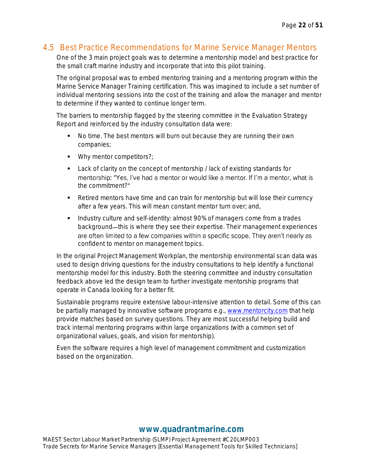## <span id="page-22-0"></span>4.5 Best Practice Recommendations for Marine Service Manager Mentors

One of the 3 main project goals was to determine a mentorship model and best practice for the small craft marine industry and incorporate that into this pilot training.

The original proposal was to embed mentoring training and a mentoring program within the Marine Service Manager Training certification. This was imagined to include a set number of individual mentoring sessions into the cost of the training and allow the manager and mentor to determine if they wanted to continue longer term.

The barriers to mentorship flagged by the steering committee in the Evaluation Strategy Report and reinforced by the industry consultation data were:

- No time. The best mentors will burn out because they are running their own companies;
- Why mentor competitors?;
- Lack of clarity on the concept of mentorship / lack of existing standards for mentorship: "Yes, I've had a mentor or would like a mentor. If I'm a mentor, what is the commitment?
- Retired mentors have time and can train for mentorship but will lose their currency after a few years. This will mean constant mentor turn over; and,
- Industry culture and self-identity: almost 90% of managers come from a trades background—this is where they see their expertise. Their management experiences are often limited to a few companies within a specific scope. They aren't nearly as confident to mentor on management topics.

In the original Project Management Workplan, the mentorship environmental scan data was used to design driving questions for the industry consultations to help identify a functional mentorship model for this industry. Both the steering committee and industry consultation feedback above led the design team to further investigate mentorship programs that operate in Canada looking for a better fit.

Sustainable programs require extensive labour-intensive attention to detail. Some of this can be partially managed by innovative software programs e.g., [www.mentorcity.com](http://www.mentorcity.com/) that help provide matches based on survey questions. They are most successful helping build and track internal mentoring programs within large organizations (with a common set of organizational values, goals, and vision for mentorship).

Even the software requires a high level of management commitment and customization based on the organization.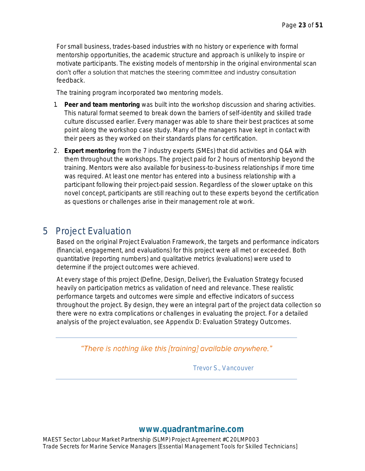For small business, trades-based industries with no history or experience with formal mentorship opportunities, the academic structure and approach is unlikely to inspire or motivate participants. The existing models of mentorship in the original environmental scan don't offer a solution that matches the steering committee and industry consultation feedback.

The training program incorporated two mentoring models.

- 1. **Peer and team mentoring** was built into the workshop discussion and sharing activities. This natural format seemed to break down the barriers of self-identity and skilled trade culture discussed earlier. Every manager was able to share their best practices at some point along the workshop case study. Many of the managers have kept in contact with their peers as they worked on their standards plans for certification.
- 2. **Expert mentoring** from the 7 industry experts (SMEs) that did activities and Q&A with them throughout the workshops. The project paid for 2 hours of mentorship beyond the training. Mentors were also available for business-to-business relationships if more time was required. At least one mentor has entered into a business relationship with a participant following their project-paid session. Regardless of the slower uptake on this novel concept, participants are still reaching out to these experts beyond the certification as questions or challenges arise in their management role at work.

## <span id="page-23-0"></span>5 Project Evaluation

Based on the original Project Evaluation Framework, the targets and performance indicators (financial, engagement, and evaluations) for this project were all met or exceeded. Both quantitative (reporting numbers) and qualitative metrics (evaluations) were used to determine if the project outcomes were achieved.

At every stage of this project (Define, Design, Deliver), the Evaluation Strategy focused heavily on participation metrics as validation of need and relevance. These realistic performance targets and outcomes were simple and effective indicators of success throughout the project. By design, they were an integral part of the project data collection so there were no extra complications or challenges in evaluating the project. For a detailed analysis of the project evaluation, see Appendix D: Evaluation Strategy Outcomes.

"There is nothing like this [training] available anywhere."

 *Trevor S., Vancouver*

## **[www.quadrantmarine.com](http://www.quadrantmarine.com/)**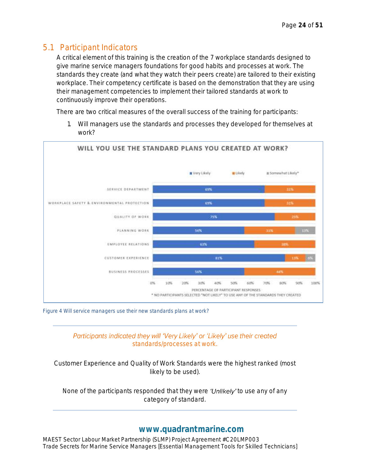## <span id="page-24-0"></span>5.1 Participant Indicators

A critical element of this training is the creation of the 7 workplace standards designed to give marine service managers foundations for good habits and processes at work. The standards they create (and what they watch their peers create) are tailored to their existing workplace. Their competency certificate is based on the demonstration that they are using their management competencies to implement their tailored standards at work to continuously improve their operations.

There are two critical measures of the overall success of the training for participants:

1. Will managers use the standards and processes they developed for themselves at work?



*Figure 4 Will service managers use their new standards plans at work?*

#### Participants indicated they will 'Very Likely' or 'Likely' use their created *standards/processes at work.*

*Customer Experience and Quality of Work Standards were the highest ranked (most likely to be used).*

*None of the participants responded that they were to use any of any category of standard.* 

#### **[www.quadrantmarine.com](http://www.quadrantmarine.com/)**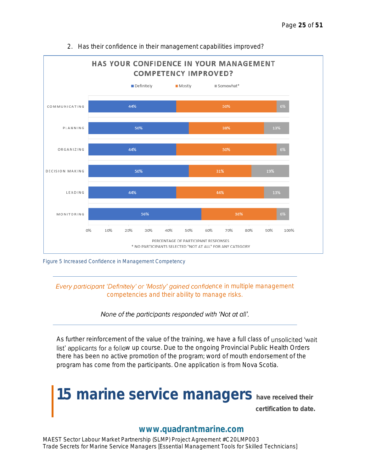

2. Has their confidence in their management capabilities improved?



#### *Every participant 'Definitely' or 'Mostly' gained confidence in multiple management competencies and their ability to manage risks.*

#### None of the participants responded with 'Not at all'.

As further reinforcement of the value of the training, we have a full class of unsolicited 'wait list' applicants for a follow up course. Due to the ongoing Provincial Public Health Orders there has been no active promotion of the program; word of mouth endorsement of the program has come from the participants. One application is from Nova Scotia.



## **[www.quadrantmarine.com](http://www.quadrantmarine.com/)**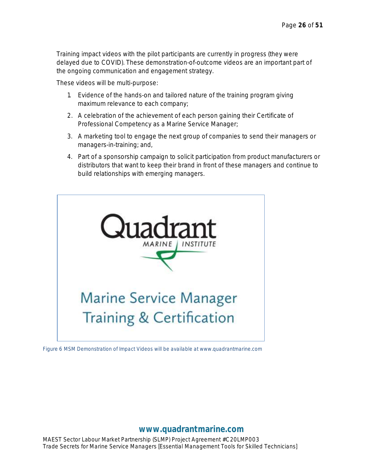Training impact videos with the pilot participants are currently in progress (they were delayed due to COVID). These demonstration-of-outcome videos are an important part of the ongoing communication and engagement strategy.

These videos will be multi-purpose:

- 1. Evidence of the hands-on and tailored nature of the training program giving maximum relevance to each company;
- 2. A celebration of the achievement of each person gaining their Certificate of Professional Competency as a Marine Service Manager;
- 3. A marketing tool to engage the next group of companies to send their managers or managers-in-training; and,
- 4. Part of a sponsorship campaign to solicit participation from product manufacturers or distributors that want to keep their brand in front of these managers and continue to build relationships with emerging managers.



*Figure 6 MSM Demonstration of Impact Videos will be available at www.quadrantmarine.com*

**[www.quadrantmarine.com](http://www.quadrantmarine.com/)**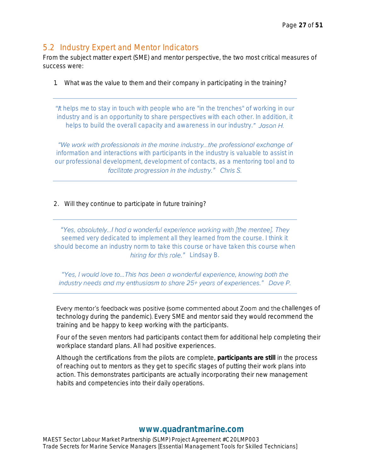## <span id="page-27-0"></span>5.2 Industry Expert and Mentor Indicators

From the subject matter expert (SME) and mentor perspective, the two most critical measures of success were:

1. What was the value to them and their company in participating in the training?

*t helps me to stay in touch with people who are "in the trenches" of working in our industry and is an opportunity to share perspectives with each other. In addition, it helps to build the overall capacity and awareness in our industry.*

"We work with professionals in the marine industry...the professional exchange of *information and interactions with participants in the industry is valuable to assist in our professional development, development of contacts, as a mentoring tool and to*  facilitate progression in the industry." Chris S.

2. Will they continue to participate in future training?

"Yes, absolutely...I had a wonderful experience working with [the mentee]. They *seemed very dedicated to implement all they learned from the course. I think it should become an industry norm to take this course or have taken this course when*  hiring for this role." Lindsay B.

"Yes, I would love to... This has been a wonderful experience, knowing both the industry needs and my enthusiasm to share 25+ years of experiences." Dave P.

Every mentor's feedback was positive (some commented about Zoom and the challenges of technology during the pandemic). Every SME and mentor said they would recommend the training and be happy to keep working with the participants.

Four of the seven mentors had participants contact them for additional help completing their workplace standard plans. All had positive experiences.

Although the certifications from the pilots are complete, **participants are still** in the process of reaching out to mentors as they get to specific stages of putting their work plans into action. This demonstrates participants are actually incorporating their new management habits and competencies into their daily operations.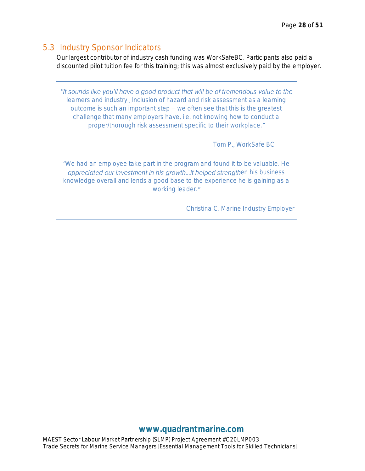#### <span id="page-28-0"></span>5.3 Industry Sponsor Indicators

Our largest contributor of industry cash funding was WorkSafeBC. Participants also paid a discounted pilot tuition fee for this training; this was almost exclusively paid by the employer.

"It sounds like you'll have a good product that will be of tremendous value to the *learners and industry Inclusion of hazard and risk assessment as a learning outcome is such an important step we often see that this is the greatest challenge that many employers have, i.e. not knowing how to conduct a proper/thorough risk assessment specific to their workplace.*

 *Tom P., WorkSafe BC*

*We had an employee take part in the program and found it to be valuable. He eppreciated our investment in his growth...it helped strengthen his business knowledge overall and lends a good base to the experience he is gaining as a working leader.*

 *Christina C. Marine Industry Employer*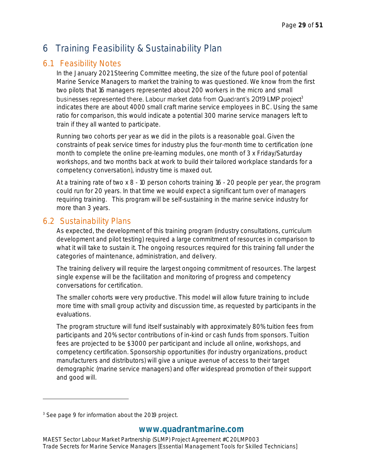# <span id="page-29-0"></span>6 Training Feasibility & Sustainability Plan

## <span id="page-29-1"></span>6.1 Feasibility Notes

In the January 2021 Steering Committee meeting, the size of the future pool of potential Marine Service Managers to market the training to was questioned. We know from the first two pilots that 16 managers represented about 200 workers in the micro and small businesses represented there. Labour market data from Quadrant's 2019 LMP project<sup>3</sup> indicates there are about 4000 small craft marine service employees in BC. Using the same ratio for comparison, this would indicate a potential 300 marine service managers left to train if they all wanted to participate.

Running two cohorts per year as we did in the pilots is a reasonable goal. Given the constraints of peak service times for industry plus the four-month time to certification (one month to complete the online pre-learning modules, one month of 3 x Friday/Saturday workshops, and two months back at work to build their tailored workplace standards for a competency conversation), industry time is maxed out.

At a training rate of two x 8 - 10 person cohorts training 16 - 20 people per year, the program could run for 20 years. In that time we would expect a significant turn over of managers requiring training. This program will be self-sustaining in the marine service industry for more than 3 years.

## <span id="page-29-2"></span>6.2 Sustainability Plans

As expected, the development of this training program (industry consultations, curriculum development and pilot testing) required a large commitment of resources in comparison to what it will take to sustain it. The ongoing resources required for this training fall under the categories of maintenance, administration, and delivery.

The training delivery will require the largest ongoing commitment of resources. The largest single expense will be the facilitation and monitoring of progress and competency conversations for certification.

The smaller cohorts were very productive. This model will allow future training to include more time with small group activity and discussion time, as requested by participants in the evaluations.

The program structure will fund itself sustainably with approximately 80% tuition fees from participants and 20% sector contributions of in-kind or cash funds from sponsors. Tuition fees are projected to be \$3000 per participant and include all online, workshops, and competency certification. Sponsorship opportunities (for industry organizations, product manufacturers and distributors) will give a unique avenue of access to their target demographic (marine service managers) and offer widespread promotion of their support and good will.

<sup>&</sup>lt;sup>3</sup> See page 9 for information about the 2019 project.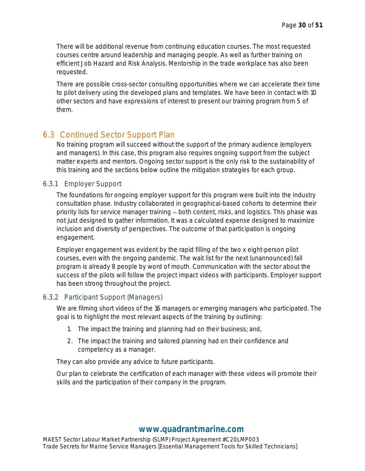There will be additional revenue from continuing education courses. The most requested courses centre around leadership and managing people. As well as further training on efficient Job Hazard and Risk Analysis. Mentorship in the trade workplace has also been requested.

There are possible cross-sector consulting opportunities where we can accelerate their time to pilot delivery using the developed plans and templates. We have been in contact with 10 other sectors and have expressions of interest to present our training program from 5 of them.

## <span id="page-30-0"></span>6.3 Continued Sector Support Plan

No training program will succeed without the support of the primary audience (employers and managers). In this case, this program also requires ongoing support from the subject matter experts and mentors. Ongoing sector support is the only risk to the sustainability of this training and the sections below outline the mitigation strategies for each group.

#### <span id="page-30-1"></span>6.3.1 Employer Support

The foundations for ongoing employer support for this program were built into the industry consultation phase. Industry collaborated in geographical-based cohorts to determine their priority lists for service manager training – both content, risks, and logistics. This phase was not just designed to gather information. It was a calculated expense designed to maximize inclusion and diversity of perspectives. The outcome of that participation is ongoing engagement.

Employer engagement was evident by the rapid filling of the two x eight-person pilot courses, even with the ongoing pandemic. The wait list for the next (unannounced) fall program is already 8 people by word of mouth. Communication with the sector about the success of the pilots will follow the project impact videos with participants. Employer support has been strong throughout the project.

#### <span id="page-30-2"></span>6.3.2 Participant Support (Managers)

We are filming short videos of the 16 managers or emerging managers who participated. The goal is to highlight the most relevant aspects of the training by outlining:

- 1. The impact the training and planning had on their business; and,
- 2. The impact the training and tailored planning had on their confidence and competency as a manager.

They can also provide any advice to future participants.

Our plan to celebrate the certification of each manager with these videos will promote their skills and the participation of their company in the program.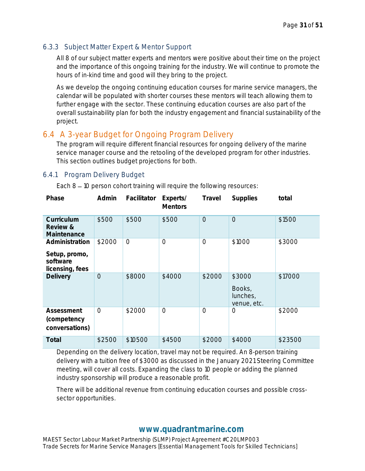#### <span id="page-31-0"></span>6.3.3 Subject Matter Expert & Mentor Support

All 8 of our subject matter experts and mentors were positive about their time on the project and the importance of this ongoing training for the industry. We will continue to promote the hours of in-kind time and good will they bring to the project.

As we develop the ongoing continuing education courses for marine service managers, the calendar will be populated with shorter courses these mentors will teach allowing them to further engage with the sector. These continuing education courses are also part of the overall sustainability plan for both the industry engagement and financial sustainability of the project.

## <span id="page-31-1"></span>6.4 A 3-year Budget for Ongoing Program Delivery

The program will require different financial resources for ongoing delivery of the marine service manager course and the retooling of the developed program for other industries. This section outlines budget projections for both.

#### <span id="page-31-2"></span>6.4.1 Program Delivery Budget

Each  $8 - 10$  person cohort training will require the following resources:

| Phase                                                          | Admin          | Facilitator    | Experts/<br><b>Mentors</b> | Travel         | Supplies                                    | total   |
|----------------------------------------------------------------|----------------|----------------|----------------------------|----------------|---------------------------------------------|---------|
| Curriculum<br>Review &<br>Maintenance                          | \$500          | \$500          | \$500                      | $\overline{O}$ | $\overline{O}$                              | \$1500  |
| Administration<br>Setup, promo,<br>software<br>licensing, fees | \$2000         | $\overline{O}$ | $\overline{O}$             | $\overline{O}$ | \$1000                                      | \$3000  |
| Delivery                                                       | $\overline{O}$ | \$8000         | \$4000                     | \$2000         | \$3000<br>Books,<br>lunches,<br>venue, etc. | \$17000 |
| Assessment<br>(competency<br>conversations)                    | $\overline{O}$ | \$2000         | $\overline{O}$             | $\overline{O}$ | $\overline{O}$                              | \$2000  |
| Total                                                          | \$2500         | \$10500        | \$4500                     | \$2000         | \$4000                                      | \$23500 |

Depending on the delivery location, travel may not be required. An 8-person training delivery with a tuition free of \$3000 as discussed in the January 2021 Steering Committee meeting, will cover all costs. Expanding the class to 10 people or adding the planned industry sponsorship will produce a reasonable profit.

There will be additional revenue from continuing education courses and possible crosssector opportunities.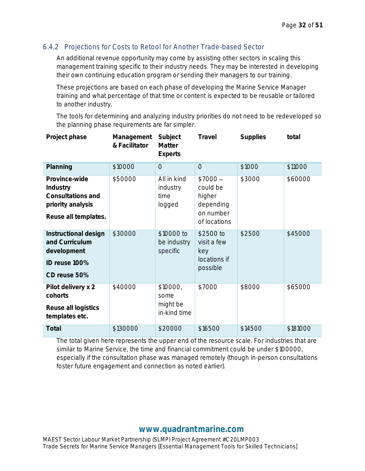#### <span id="page-32-0"></span>6.4.2 Projections for Costs to Retool for Another Trade-based Sector

An additional revenue opportunity may come by assisting other sectors in scaling this management training specific to their industry needs. They may be interested in developing their own continuing education program or sending their managers to our training.

These projections are based on each phase of developing the Marine Service Manager training and what percentage of that time or content is expected to be reusable or tailored to another industry.

The tools for determining and analyzing industry priorities do not need to be redeveloped so the planning phase requirements are far simpler.

| Project phase                                                                               | Management<br>& Facilitator | Subject<br>Matter<br>Experts                 | Travel                                                                   | <b>Supplies</b> | total    |
|---------------------------------------------------------------------------------------------|-----------------------------|----------------------------------------------|--------------------------------------------------------------------------|-----------------|----------|
| Planning                                                                                    | \$10000                     | $\overline{O}$                               | $\overline{O}$                                                           | \$1000          | \$11000  |
| Province-wide<br>Industry<br>Consultations and<br>priority analysis<br>Reuse all templates. | \$50000                     | All in kind<br>industry<br>time<br>logged    | $$7000-$<br>could be<br>higher<br>depending<br>on number<br>of locations | \$3000          | \$60000  |
| Instructional design<br>and Curriculum<br>development<br>ID reuse 100%<br>CD reuse 50%      | \$30000                     | \$10000 to<br>be industry<br>specific        | \$2500 to<br>visit a few<br>key<br>locations if<br>possible              | \$2500          | \$45000  |
| Pilot delivery x 2<br>cohorts<br>Reuse all logistics<br>templates etc.                      | \$40000                     | \$10000,<br>some<br>might be<br>in-kind time | \$7000                                                                   | \$8000          | \$65000  |
| Total                                                                                       | \$130000                    | \$20000                                      | \$16500                                                                  | \$14500         | \$181000 |

The total given here represents the upper end of the resource scale. For industries that are similar to Marine Service, the time and financial commitment could be under \$100000, especially if the consultation phase was managed remotely (though in-person consultations foster future engagement and connection as noted earlier).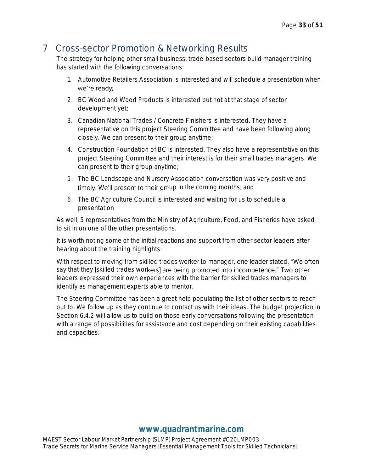## <span id="page-33-0"></span>7 Cross-sector Promotion & Networking Results

The strategy for helping other small business, trade-based sectors build manager training has started with the following conversations:

- 1. Automotive Retailers Association is interested and will schedule a presentation when we're ready;
- 2. BC Wood and Wood Products is interested but not at that stage of sector development yet;
- 3. Canadian National Trades / Concrete Finishers is interested. They have a representative on this project Steering Committee and have been following along closely. We can present to their group anytime;
- 4. Construction Foundation of BC is interested. They also have a representative on this project Steering Committee and their interest is for their small trades managers. We can present to their group anytime;
- 5. The BC Landscape and Nursery Association conversation was very positive and timely. We'll present to their group in the coming months; and
- 6. The BC Agriculture Council is interested and waiting for us to schedule a presentation

As well, 5 representatives from the Ministry of Agriculture, Food, and Fisheries have asked to sit in on one of the other presentations.

It is worth noting some of the initial reactions and support from other sector leaders after hearing about the training highlights:

With respect to moving from skilled trades worker to manager, one leader stated, "We often say that they [skilled trades workers] are being promoted into incompetence." Two other leaders expressed their own experiences with the barrier for skilled trades managers to identify as management experts able to mentor.

<span id="page-33-1"></span>The Steering Committee has been a great help populating the list of other sectors to reach out to. We follow up as they continue to contact us with their ideas. The budget projection in Section 6.4.2 will allow us to build on those early conversations following the presentation with a range of possibilities for assistance and cost depending on their existing capabilities and capacities.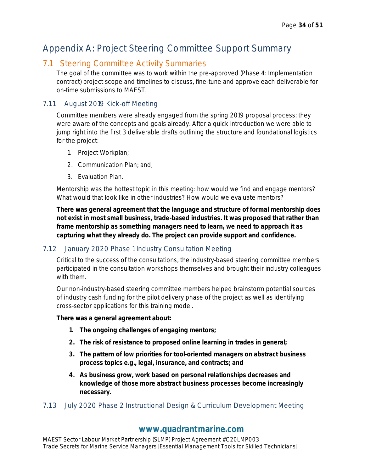# Appendix A: Project Steering Committee Support Summary

## <span id="page-34-0"></span>7.1 Steering Committee Activity Summaries

The goal of the committee was to work within the pre-approved (Phase 4: Implementation contract) project scope and timelines to discuss, fine-tune and approve each deliverable for on-time submissions to MAEST.

#### <span id="page-34-1"></span>7.1.1 August 2019 Kick-off Meeting

Committee members were already engaged from the spring 2019 proposal process; they were aware of the concepts and goals already. After a quick introduction we were able to jump right into the first 3 deliverable drafts outlining the structure and foundational logistics for the project:

- 1. Project Workplan;
- 2. Communication Plan; and,
- 3. Evaluation Plan.

Mentorship was the hottest topic in this meeting: how would we find and engage mentors? What would that look like in other industries? How would we evaluate mentors?

**There was general agreement that the language and structure of formal mentorship does not exist in most small business, trade-based industries. It was proposed that rather than frame mentorship as something managers need to learn, we need to approach it as capturing what they already do. The project can provide support and confidence.**

#### <span id="page-34-2"></span>7.1.2 January 2020 Phase 1 Industry Consultation Meeting

Critical to the success of the consultations, the industry-based steering committee members participated in the consultation workshops themselves and brought their industry colleagues with them.

Our non-industry-based steering committee members helped brainstorm potential sources of industry cash funding for the pilot delivery phase of the project as well as identifying cross-sector applications for this training model.

**There was a general agreement about:**

- **1. The ongoing challenges of engaging mentors;**
- **2. The risk of resistance to proposed online learning in trades in general;**
- **3. The pattern of low priorities for tool-oriented managers on abstract business process topics e.g., legal, insurance, and contracts; and**
- **4. As business grow, work based on personal relationships decreases and knowledge of those more abstract business processes become increasingly necessary.**

#### <span id="page-34-3"></span>7.1.3 July 2020 Phase 2 Instructional Design & Curriculum Development Meeting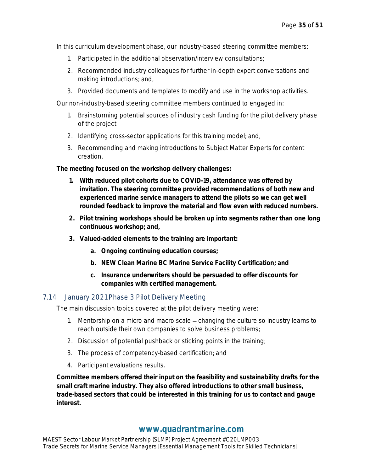In this curriculum development phase, our industry-based steering committee members:

- 1. Participated in the additional observation/interview consultations;
- 2. Recommended industry colleagues for further in-depth expert conversations and making introductions; and,
- 3. Provided documents and templates to modify and use in the workshop activities.

Our non-industry-based steering committee members continued to engaged in:

- 1. Brainstorming potential sources of industry cash funding for the pilot delivery phase of the project
- 2. Identifying cross-sector applications for this training model; and,
- 3. Recommending and making introductions to Subject Matter Experts for content creation.

**The meeting focused on the workshop delivery challenges:**

- **1. With reduced pilot cohorts due to COVID-19, attendance was offered by invitation. The steering committee provided recommendations of both new and experienced marine service managers to attend the pilots so we can get well rounded feedback to improve the material and flow even with reduced numbers.**
- **2. Pilot training workshops should be broken up into segments rather than one long continuous workshop; and,**
- **3. Valued-added elements to the training are important:**
	- **a. Ongoing continuing education courses;**
	- **b. NEW Clean Marine BC Marine Service Facility Certification; and**
	- **c. Insurance underwriters should be persuaded to offer discounts for companies with certified management.**

#### <span id="page-35-0"></span>7.1.4 January 2021 Phase 3 Pilot Delivery Meeting

The main discussion topics covered at the pilot delivery meeting were:

- 1. Mentorship on a micro and macro scale changing the culture so industry learns to reach outside their own companies to solve business problems;
- 2. Discussion of potential pushback or sticking points in the training;
- 3. The process of competency-based certification; and
- 4. Participant evaluations results.

**Committee members offered their input on the feasibility and sustainability drafts for the small craft marine industry. They also offered introductions to other small business, trade-based sectors that could be interested in this training for us to contact and gauge interest.**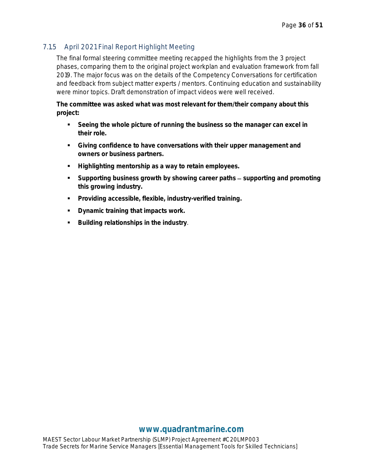#### <span id="page-36-0"></span>7.1.5 April 2021 Final Report Highlight Meeting

The final formal steering committee meeting recapped the highlights from the 3 project phases, comparing them to the original project workplan and evaluation framework from fall 2019. The major focus was on the details of the Competency Conversations for certification and feedback from subject matter experts / mentors. Continuing education and sustainability were minor topics. Draft demonstration of impact videos were well received.

**The committee was asked what was most relevant for them/their company about this project:**

- **Example 1** Seeing the whole picture of running the business so the manager can excel in **their role.**
- **Giving confidence to have conversations with their upper management and owners or business partners.**
- **Highlighting mentorship as a way to retain employees.**
- Supporting business growth by showing career paths supporting and promoting **this growing industry.**
- **Providing accessible, flexible, industry-verified training.**
- **Dynamic training that impacts work.**
- **Building relationships in the industry**.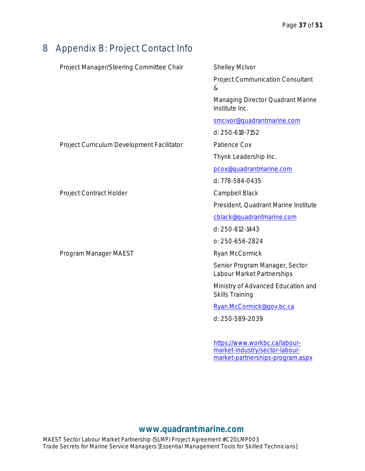# <span id="page-37-0"></span>8 Appendix B: Project Contact Info

| Project Manager/Steering Committee Chair   | <b>Shelley McIvor</b>                                           |
|--------------------------------------------|-----------------------------------------------------------------|
|                                            | <b>Project Communication Consultant</b><br>&                    |
|                                            | Managing Director Quadrant Marine<br>Institute Inc.             |
|                                            | smcivor@quadrantmarine.com                                      |
|                                            | d: 250-618-7152                                                 |
| Project Curriculum Development Facilitator | Patience Cox                                                    |
|                                            | Thynk Leadership Inc.                                           |
|                                            | pcox@quadrantmarine.com                                         |
|                                            | d: 778-584-0435                                                 |
| Project Contract Holder                    | Campbell Black                                                  |
|                                            | President, Quadrant Marine Institute                            |
|                                            | cblack@quadrantmarine.com                                       |
|                                            | d: 250-812-1443                                                 |
|                                            | 0: 250-656-2824                                                 |
| Program Manager MAEST                      | Ryan McCormick                                                  |
|                                            | Senior Program Manager, Sector<br>Labour Market Partnerships    |
|                                            | Ministry of Advanced Education and<br><b>Skills Training</b>    |
|                                            | Ryan.McCormick@gov.bc.ca                                        |
|                                            | d: 250-589-2039                                                 |
|                                            | https://www.workbc.ca/labour-<br>market-industry/sector-labour- |

## **[www.quadrantmarine.com](http://www.quadrantmarine.com/)**

[market-partnerships-program.aspx](https://www.workbc.ca/labour-market-industry/sector-labour-market-partnerships-program.aspx)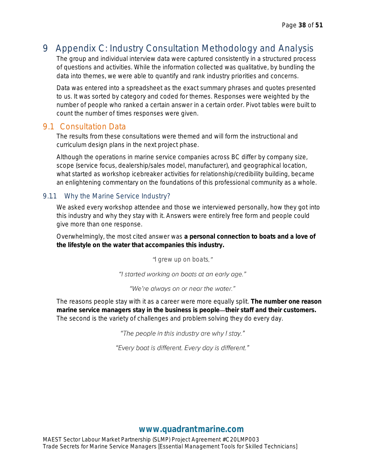# <span id="page-38-0"></span>9 Appendix C: Industry Consultation Methodology and Analysis

The group and individual interview data were captured consistently in a structured process of questions and activities. While the information collected was qualitative, by bundling the data into themes, we were able to quantify and rank industry priorities and concerns.

Data was entered into a spreadsheet as the exact summary phrases and quotes presented to us. It was sorted by category and coded for themes. Responses were weighted by the number of people who ranked a certain answer in a certain order. Pivot tables were built to count the number of times responses were given.

## <span id="page-38-1"></span>9.1 Consultation Data

The results from these consultations were themed and will form the instructional and curriculum design plans in the next project phase.

Although the operations in marine service companies across BC differ by company size, scope (service focus, dealership/sales model, manufacturer), and geographical location, what started as workshop icebreaker activities for relationship/credibility building, became an enlightening commentary on the foundations of this professional community as a whole.

#### <span id="page-38-2"></span>9.1.1 Why the Marine Service Industry?

We asked every workshop attendee and those we interviewed personally, how they got into this industry and why they stay with it. Answers were entirely free form and people could give more than one response.

Overwhelmingly, the most cited answer was **a personal connection to boats and a love of the lifestyle on the water that accompanies this industry.**

"*I grew up on boats."* 

"I started working on boats at an early age."

"We're always on or near the water."

The reasons people stay with it as a career were more equally split. **The number one reason**  marine service managers stay in the business is people—their staff and their customers. The second is the variety of challenges and problem solving they do every day.

"The people in this industry are why I stay."

"Every boat is different. Every day is different."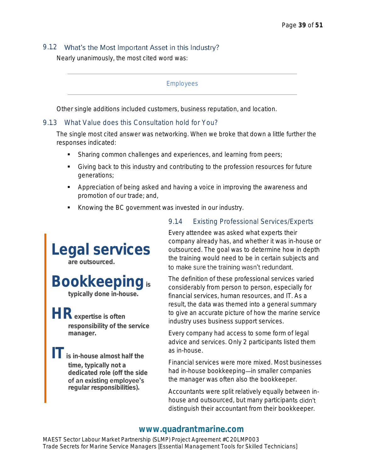#### <span id="page-39-0"></span>9.1.2 What's the Most Important Asset in this Industry?

Nearly unanimously, the most cited word was:

#### *Employees*

Other single additions included customers, business reputation, and location.

#### <span id="page-39-1"></span>9.1.3 What Value does this Consultation hold for You?

The single most cited answer was networking. When we broke that down a little further the responses indicated:

- Sharing common challenges and experiences, and learning from peers;
- Giving back to this industry and contributing to the profession resources for future generations;
- Appreciation of being asked and having a voice in improving the awareness and promotion of our trade; and,
- Knowing the BC government was invested in our industry.



## <span id="page-39-2"></span>9.1.4 Existing Professional Services/Experts

Every attendee was asked what experts their company already has, and whether it was in-house or outsourced. The goal was to determine how in depth the training would need to be in certain subjects and to make sure the training wasn't redundant.

The definition of these professional services varied considerably from person to person, especially for financial services, human resources, and IT. As a result, the data was themed into a general summary to give an accurate picture of how the marine service industry uses business support services.

Every company had access to some form of legal advice and services. Only 2 participants listed them as in-house.

Financial services were more mixed. Most businesses had in-house bookkeeping—in smaller companies the manager was often also the bookkeeper.

Accountants were split relatively equally between inhouse and outsourced, but many participants didn't distinguish their accountant from their bookkeeper.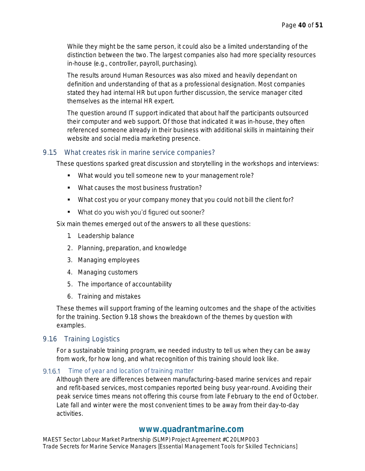While they might be the same person, it could also be a limited understanding of the distinction between the two. The largest companies also had more speciality resources in-house (e.g., controller, payroll, purchasing).

The results around Human Resources was also mixed and heavily dependant on definition and understanding of that as a professional designation. Most companies stated they had internal HR but upon further discussion, the service manager cited themselves as the internal HR expert.

The question around IT support indicated that about half the participants outsourced their computer and web support. Of those that indicated it was in-house, they often referenced someone already in their business with additional skills in maintaining their website and social media marketing presence.

#### <span id="page-40-0"></span>9.1.5 What creates risk in marine service companies?

These questions sparked great discussion and storytelling in the workshops and interviews:

- What would you tell someone new to your management role?
- What causes the most business frustration?
- What cost you or your company money that you could not bill the client for?
- What do you wish you'd figured out sooner?

Six main themes emerged out of the answers to all these questions:

- 1. Leadership balance
- 2. Planning, preparation, and knowledge
- 3. Managing employees
- 4. Managing customers
- 5. The importance of accountability
- 6. Training and mistakes

These themes will support framing of the learning outcomes and the shape of the activities for the training. Section 9.1.8 shows the breakdown of the themes by question with examples.

#### <span id="page-40-1"></span>9.1.6 Training Logistics

For a sustainable training program, we needed industry to tell us when they can be away from work, for how long, and what recognition of this training should look like.

#### *Time of year and location of training matter*

Although there are differences between manufacturing-based marine services and repair and refit-based services, most companies reported being busy year-round. Avoiding their peak service times means not offering this course from late February to the end of October. Late fall and winter were the most convenient times to be away from their day-to-day activities.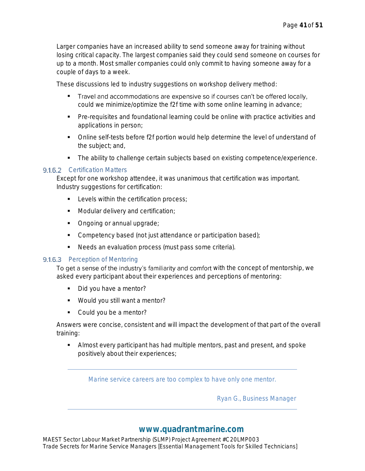Larger companies have an increased ability to send someone away for training without losing critical capacity. The largest companies said they could send someone on courses for up to a month. Most smaller companies could only commit to having someone away for a couple of days to a week.

These discussions led to industry suggestions on workshop delivery method:

- Travel and accommodations are expensive so if courses can't be offered locally, could we minimize/optimize the f2f time with some online learning in advance;
- **•** Pre-requisites and foundational learning could be online with practice activities and applications in person;
- Online self-tests before f2f portion would help determine the level of understand of the subject; and,
- The ability to challenge certain subjects based on existing competence/experience.

#### *Certification Matters*

Except for one workshop attendee, it was unanimous that certification was important. Industry suggestions for certification:

- Levels within the certification process;
- Modular delivery and certification;
- Ongoing or annual upgrade;
- Competency based (not just attendance or participation based);
- Needs an evaluation process (must pass some criteria).

#### *Perception of Mentoring*

To get a sense of the industry's familiarity and comfort with the concept of mentorship, we asked every participant about their experiences and perceptions of mentoring:

- Did you have a mentor?
- Would you still want a mentor?
- Could you be a mentor?

Answers were concise, consistent and will impact the development of that part of the overall training:

**EXEDENT Almost every participant has had multiple mentors, past and present, and spoke** positively about their experiences;

*Marine service careers are too complex to have only one mentor.* 

*Ryan G., Business Manager*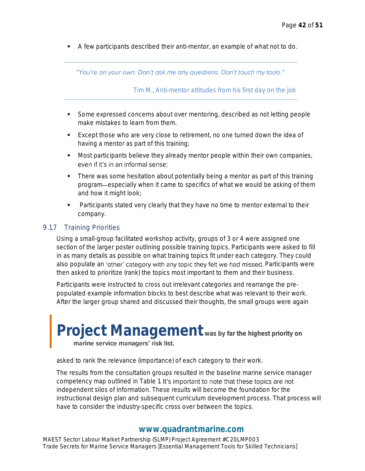A few participants described their anti-mentor, an example of what not to do.

"You're on your own. Don't ask me any questions. Don't touch my tools."

*Tim M., Anti-mentor attitudes from his first day on the job*

- Some expressed concerns about over mentoring, described as not letting people make mistakes to learn from them.
- Except those who are very close to retirement, no one turned down the idea of having a mentor as part of this training;
- Most participants believe they already mentor people within their own companies, even if it's in an informal sense;
- There was some hesitation about potentially being a mentor as part of this training program especially when it came to specifics of what we would be asking of them and how it might look;
- Participants stated very clearly that they have no time to mentor external to their company.

#### <span id="page-42-0"></span>9.1.7 Training Priorities

Using a small-group facilitated workshop activity, groups of 3 or 4 were assigned one section of the larger poster outlining possible training topics. Participants were asked to fill in as many details as possible on what training topics fit under each category. They could also populate an 'other' category with any topic they felt we had missed. Participants were then asked to prioritize (rank) the topics most important to them and their business.

Participants were instructed to cross out irrelevant categories and rearrange the prepopulated example information blocks to best describe what was relevant to their work. After the larger group shared and discussed their thoughts, the small groups were again

# **Project Management** was by far the highest priority on marine service managers' risk list.

asked to rank the relevance (importance) of each category to their work.

The results from the consultation groups resulted in the baseline marine service manager competency map outlined in Table 1. It's important to note that these topics are not independent silos of information. These results will become the foundation for the instructional design plan and subsequent curriculum development process. That process will have to consider the industry-specific cross over between the topics.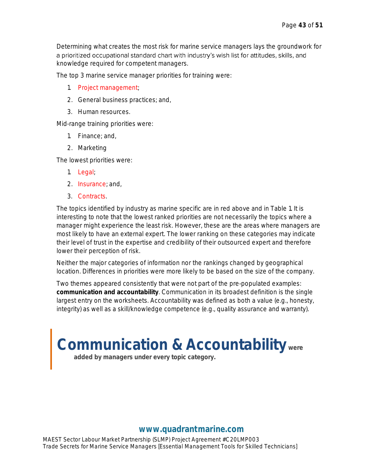Determining what creates the most risk for marine service managers lays the groundwork for a prioritized occupational standard chart with industry's wish list for attitudes, skills, and knowledge required for competent managers.

The top 3 marine service manager priorities for training were:

- 1. Project management;
- 2. General business practices; and,
- 3. Human resources.

Mid-range training priorities were:

- 1. Finance; and,
- 2. Marketing

The lowest priorities were:

- 1. Legal;
- 2. Insurance; and,
- 3. Contracts.

The topics identified by industry as marine specific are in red above and in Table 1. It is interesting to note that the lowest ranked priorities are not necessarily the topics where a manager might experience the least risk. However, these are the areas where managers are most likely to have an external expert. The lower ranking on these categories may indicate their level of trust in the expertise and credibility of their outsourced expert and therefore lower their perception of risk.

Neither the major categories of information nor the rankings changed by geographical location. Differences in priorities were more likely to be based on the size of the company.

Two themes appeared consistently that were not part of the pre-populated examples: **communication and accountability**. Communication in its broadest definition is the single largest entry on the worksheets. Accountability was defined as both a value (e.g., honesty, integrity) as well as a skill/knowledge competence (e.g., quality assurance and warranty).

**Communication & Accountability were** 

**added by managers under every topic category.**

## **[www.quadrantmarine.com](http://www.quadrantmarine.com/)**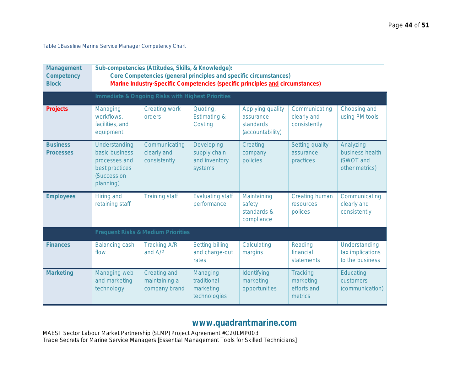*Table 1 Baseline Marine Service Manager Competency Chart*

| Management<br>Competency<br><b>Block</b> | Sub-competencies (Attitudes, Skills, & Knowledge):<br>Core Competencies (general principles and specific circumstances)<br>Marine Industry-Specific Competencies (specific principles and circumstances) |                                                   |                                                        |                                                                |                                                 |                                                             |  |  |
|------------------------------------------|----------------------------------------------------------------------------------------------------------------------------------------------------------------------------------------------------------|---------------------------------------------------|--------------------------------------------------------|----------------------------------------------------------------|-------------------------------------------------|-------------------------------------------------------------|--|--|
|                                          |                                                                                                                                                                                                          | Immediate & Ongoing Risks with Highest Priorities |                                                        |                                                                |                                                 |                                                             |  |  |
| Projects                                 | Managing<br>workflows.<br>facilities, and<br>equipment                                                                                                                                                   | Creating work<br>orders                           | Quoting,<br><b>Estimating &amp;</b><br>Costing         | Applying quality<br>assurance<br>standards<br>(accountability) | Communicating<br>clearly and<br>consistently    | Choosing and<br>using PM tools                              |  |  |
| <b>Business</b><br><b>Processes</b>      | Understanding<br>basic business<br>processes and<br>best practices<br><b>(Succession</b><br>planning)                                                                                                    | Communicating<br>clearly and<br>consistently      | Developing<br>supply chain<br>and inventory<br>systems | Creating<br>company<br>policies                                | Setting quality<br>assurance<br>practices       | Analyzing<br>business health<br>(SWOT and<br>other metrics) |  |  |
| <b>Employees</b>                         | Hiring and<br>retaining staff                                                                                                                                                                            | <b>Training staff</b>                             | <b>Evaluating staff</b><br>performance                 | Maintaining<br>safety<br>standards &<br>compliance             | Creating human<br>resources<br>polices          | Communicating<br>clearly and<br>consistently                |  |  |
|                                          |                                                                                                                                                                                                          | Frequent Risks & Medium Priorities                |                                                        |                                                                |                                                 |                                                             |  |  |
| <b>Finances</b>                          | <b>Balancing cash</b><br>flow                                                                                                                                                                            | <b>Tracking A/R</b><br>and A/P                    | <b>Setting billing</b><br>and charge-out<br>rates      | Calculating<br>margins                                         | Reading<br>financial<br>statements              | Understanding<br>tax implications<br>to the business        |  |  |
| Marketing                                | Managing web<br>and marketing<br>technology                                                                                                                                                              | Creating and<br>maintaining a<br>company brand    | Managing<br>traditional<br>marketing<br>technologies   | Identifying<br>marketing<br>opportunities                      | Tracking<br>marketing<br>efforts and<br>metrics | Educating<br>customers<br>(communication)                   |  |  |

## **[www.quadrantmarine.com](http://www.quadrantmarine.com/)**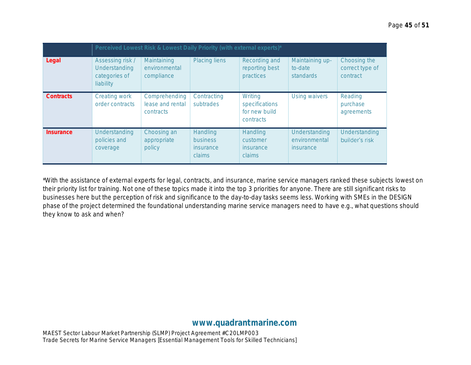|           | Perceived Lowest Risk & Lowest Daily Priority (with external experts)* |                                                       |                                             |                                                                |                                                |                                             |  |
|-----------|------------------------------------------------------------------------|-------------------------------------------------------|---------------------------------------------|----------------------------------------------------------------|------------------------------------------------|---------------------------------------------|--|
| Legal     | Assessing risk /<br>Understanding<br>categories of<br>liability        | Maintaining<br>environmental<br>compliance            | Placing liens                               | Recording and<br>reporting best<br>practices                   | Maintaining up-<br>to-date<br><b>standards</b> | Choosing the<br>correct type of<br>contract |  |
| Contracts | Creating work<br>order contracts                                       | Comprehending<br>lease and rental<br><b>contracts</b> | Contracting<br>subtrades                    | Writing<br>specifications<br>for new build<br><b>contracts</b> | <b>Using waivers</b>                           | Reading<br>purchase<br>agreements           |  |
| Insurance | Understanding<br>policies and<br>coverage                              | Choosing an<br>appropriate<br>policy                  | Handling<br>business<br>insurance<br>claims | Handling<br>customer<br>insurance<br>claims                    | Understanding<br>environmental<br>insurance    | Understanding<br>builder's risk             |  |

\*With the assistance of external experts for legal, contracts, and insurance, marine service managers ranked these subjects lowest on their priority list for training. Not one of these topics made it into the top 3 priorities for anyone. There are still significant risks to businesses here but the perception of risk and significance to the day-to-day tasks seems less. Working with SMEs in the DESIGN phase of the project determined the foundational understanding marine service managers need to have e.g., what questions should they know to ask and when?

#### **[www.quadrantmarine.com](http://www.quadrantmarine.com/)**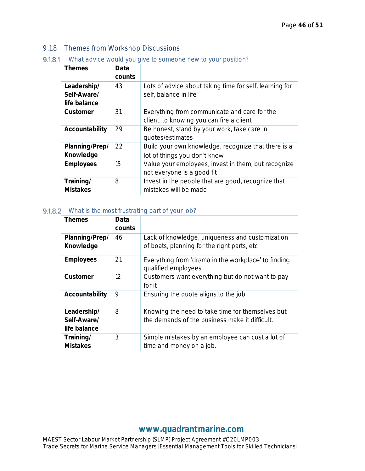#### <span id="page-46-0"></span>9.1.8 Themes from Workshop Discussions

*What advice would you give to someone new to your position?*

| <b>Themes</b>                              | Data<br>counts |                                                                                          |
|--------------------------------------------|----------------|------------------------------------------------------------------------------------------|
| Leadership/<br>Self-Aware/<br>life balance | 43             | Lots of advice about taking time for self, learning for<br>self, balance in life         |
| Customer                                   | 31             | Everything from communicate and care for the<br>client, to knowing you can fire a client |
| Accountability                             | 29             | Be honest, stand by your work, take care in<br>quotes/estimates                          |
| Planning/Prep/<br>Knowledge                | 22             | Build your own knowledge, recognize that there is a<br>lot of things you don't know      |
| Employees                                  | 15             | Value your employees, invest in them, but recognize<br>not everyone is a good fit        |
| Training/<br><b>Mistakes</b>               | 8              | Invest in the people that are good, recognize that<br>mistakes will be made              |

#### *What is the most frustrating part of your job?*

| Themes                                     | Data<br>counts |                                                                                                    |
|--------------------------------------------|----------------|----------------------------------------------------------------------------------------------------|
| Planning/Prep/<br>Knowledge                | 46             | Lack of knowledge, uniqueness and customization<br>of boats, planning for the right parts, etc     |
| Employees                                  | 21             | Everything from 'drama in the workplace' to finding<br>qualified employees                         |
| Customer                                   | 12             | Customers want everything but do not want to pay<br>for it                                         |
| Accountability                             | 9              | Ensuring the quote aligns to the job                                                               |
| Leadership/<br>Self-Aware/<br>life balance | 8              | Knowing the need to take time for themselves but<br>the demands of the business make it difficult. |
| Training/<br><b>Mistakes</b>               | 3              | Simple mistakes by an employee can cost a lot of<br>time and money on a job.                       |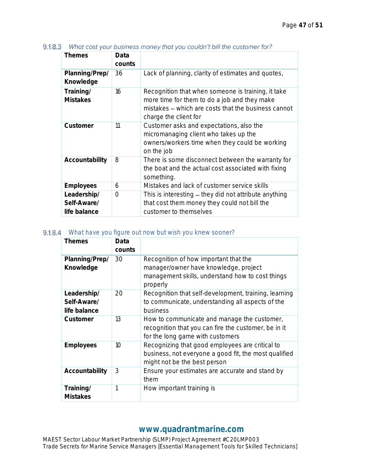| <b>Themes</b>                              | Data<br>counts |                                                                                                                                                                                    |
|--------------------------------------------|----------------|------------------------------------------------------------------------------------------------------------------------------------------------------------------------------------|
| Planning/Prep/<br>Knowledge                | 36             | Lack of planning, clarity of estimates and quotes,                                                                                                                                 |
| Training/<br><b>Mistakes</b>               | 16             | Recognition that when someone is training, it take<br>more time for them to do a job and they make<br>mistakes – which are costs that the business cannot<br>charge the client for |
| Customer                                   | 11             | Customer asks and expectations, also the<br>micromanaging client who takes up the<br>owners/workers time when they could be working<br>on the job                                  |
| Accountability                             | 8              | There is some disconnect between the warranty for<br>the boat and the actual cost associated with fixing<br>something.                                                             |
| Employees                                  | 6              | Mistakes and lack of customer service skills                                                                                                                                       |
| Leadership/<br>Self-Aware/<br>life balance | $\bigcap$      | This is interesting – they did not attribute anything<br>that cost them money they could not bill the<br>customer to themselves                                                    |

9.1.8.3 What cost your business money that you couldn't bill the customer for?

#### *What have you figure out now but wish you knew sooner?*

| Themes                                     | Data<br>counts  |                                                                                                                                                |
|--------------------------------------------|-----------------|------------------------------------------------------------------------------------------------------------------------------------------------|
| Planning/Prep/<br>Knowledge                | 30              | Recognition of how important that the<br>manager/owner have knowledge, project<br>management skills, understand how to cost things<br>properly |
| Leadership/<br>Self-Aware/<br>life balance | 20              | Recognition that self-development, training, learning<br>to communicate, understanding all aspects of the<br>business                          |
| Customer                                   | 13              | How to communicate and manage the customer,<br>recognition that you can fire the customer, be in it<br>for the long game with customers        |
| Employees                                  | 10 <sup>1</sup> | Recognizing that good employees are critical to<br>business, not everyone a good fit, the most qualified<br>might not be the best person       |
| Accountability                             | 3               | Ensure your estimates are accurate and stand by<br>them                                                                                        |
| Training/<br><b>Mistakes</b>               | 1               | How important training is                                                                                                                      |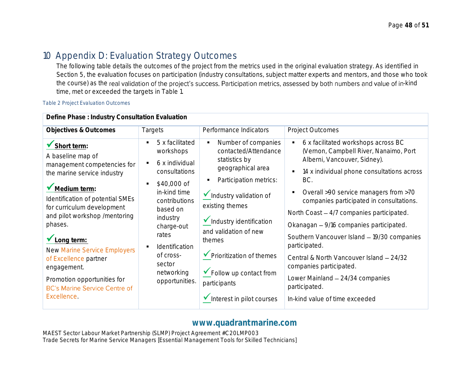# 10 Appendix D: Evaluation Strategy Outcomes

The following table details the outcomes of the project from the metrics used in the original evaluation strategy. As identified in Section 5, the evaluation focuses on participation (industry consultations, subject matter experts and mentors, and those who took the course) as the real validation of the project's success. Participation metrics, assessed by both numbers and value of in-kind time, met or exceeded the targets in Table 1.

#### *Table 2 Project Evaluation Outcomes*

<span id="page-48-0"></span>

| Define Phase: Industry Consultation Evaluation                                                                                                                                                                                                                                                                                                                                                                                        |                                                                                                                                                                                                                                                   |                                                                                                                                                                                                                                                                                                                               |                                                                                                                                                                                                                                                                                                                                                                                                                                                                                                                                                                                                                                     |  |  |  |  |
|---------------------------------------------------------------------------------------------------------------------------------------------------------------------------------------------------------------------------------------------------------------------------------------------------------------------------------------------------------------------------------------------------------------------------------------|---------------------------------------------------------------------------------------------------------------------------------------------------------------------------------------------------------------------------------------------------|-------------------------------------------------------------------------------------------------------------------------------------------------------------------------------------------------------------------------------------------------------------------------------------------------------------------------------|-------------------------------------------------------------------------------------------------------------------------------------------------------------------------------------------------------------------------------------------------------------------------------------------------------------------------------------------------------------------------------------------------------------------------------------------------------------------------------------------------------------------------------------------------------------------------------------------------------------------------------------|--|--|--|--|
| Objectives & Outcomes                                                                                                                                                                                                                                                                                                                                                                                                                 | <b>Targets</b>                                                                                                                                                                                                                                    | Performance Indicators                                                                                                                                                                                                                                                                                                        | Project Outcomes                                                                                                                                                                                                                                                                                                                                                                                                                                                                                                                                                                                                                    |  |  |  |  |
| Short term:<br>A baseline map of<br>management competencies for<br>the marine service industry<br>Medium term:<br>Identification of potential SMEs<br>for curriculum development<br>and pilot workshop /mentoring<br>phases.<br>$\blacktriangleright$ Long term:<br><b>New Marine Service Employers</b><br>of Excellence partner<br>engagement.<br>Promotion opportunities for<br><b>BC's Marine Service Centre of</b><br>Excellence. | 5 x facilitated<br>workshops<br>6 x individual<br>٠<br>consultations<br>\$40,000 of<br>٠<br>in-kind time<br>contributions<br>based on<br>industry<br>charge-out<br>rates<br>Identification<br>of cross-<br>sector<br>networking<br>opportunities. | Number of companies<br>contacted/Attendance<br>statistics by<br>geographical area<br>Participation metrics:<br>Industry validation of<br>existing themes<br>Industry identification<br>and validation of new<br>themes<br>▼ Prioritization of themes<br>✔ Follow up contact from<br>participants<br>Interest in pilot courses | 6 x facilitated workshops across BC<br>$\blacksquare$<br>(Vernon, Campbell River, Nanaimo, Port<br>Alberni, Vancouver, Sidney).<br>14 x individual phone consultations across<br>$\blacksquare$<br>BC.<br>Overall >90 service managers from >70<br>$\blacksquare$<br>companies participated in consultations.<br>North Coast - 4/7 companies participated.<br>Okanagan - 9/16 companies participated.<br>Southern Vancouver Island - 19/30 companies<br>participated.<br>Central & North Vancouver Island - 24/32<br>companies participated.<br>Lower Mainland - 24/34 companies<br>participated.<br>In-kind value of time exceeded |  |  |  |  |
|                                                                                                                                                                                                                                                                                                                                                                                                                                       |                                                                                                                                                                                                                                                   |                                                                                                                                                                                                                                                                                                                               |                                                                                                                                                                                                                                                                                                                                                                                                                                                                                                                                                                                                                                     |  |  |  |  |

#### **[www.quadrantmarine.com](http://www.quadrantmarine.com/)**